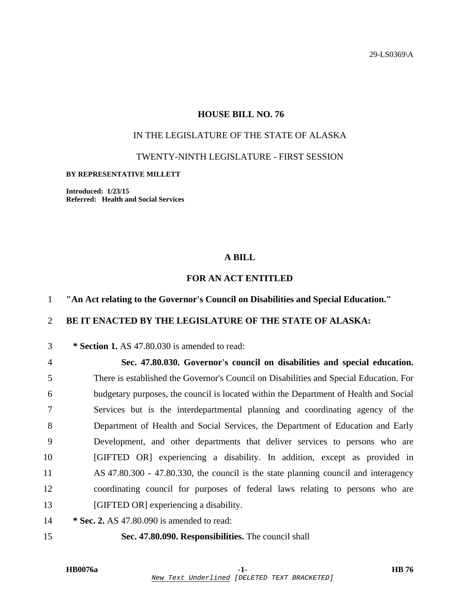## **HOUSE BILL NO. 76**

# IN THE LEGISLATURE OF THE STATE OF ALASKA

TWENTY-NINTH LEGISLATURE - FIRST SESSION

#### **BY REPRESENTATIVE MILLETT**

**Introduced: 1/23/15 Referred: Health and Social Services** 

## **A BILL**

## **FOR AN ACT ENTITLED**

1 **"An Act relating to the Governor's Council on Disabilities and Special Education."** 

#### 2 **BE IT ENACTED BY THE LEGISLATURE OF THE STATE OF ALASKA:**

3 **\* Section 1.** AS 47.80.030 is amended to read:

4 **Sec. 47.80.030. Governor's council on disabilities and special education.**  5 There is established the Governor's Council on Disabilities and Special Education. For 6 budgetary purposes, the council is located within the Department of Health and Social 7 Services but is the interdepartmental planning and coordinating agency of the 8 Department of Health and Social Services, the Department of Education and Early 9 Development, and other departments that deliver services to persons who are 10 [GIFTED OR] experiencing a disability. In addition, except as provided in 11 AS 47.80.300 - 47.80.330, the council is the state planning council and interagency 12 coordinating council for purposes of federal laws relating to persons who are 13 [GIFTED OR] experiencing a disability.

14 **\* Sec. 2.** AS 47.80.090 is amended to read:

#### 15 **Sec. 47.80.090. Responsibilities.** The council shall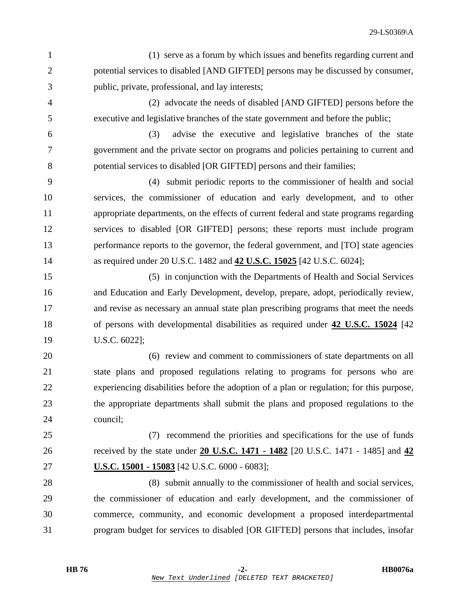1 (1) serve as a forum by which issues and benefits regarding current and 2 potential services to disabled [AND GIFTED] persons may be discussed by consumer, 3 public, private, professional, and lay interests;

4 (2) advocate the needs of disabled [AND GIFTED] persons before the 5 executive and legislative branches of the state government and before the public;

6 (3) advise the executive and legislative branches of the state 7 government and the private sector on programs and policies pertaining to current and 8 potential services to disabled [OR GIFTED] persons and their families;

9 (4) submit periodic reports to the commissioner of health and social 10 services, the commissioner of education and early development, and to other 11 appropriate departments, on the effects of current federal and state programs regarding 12 services to disabled [OR GIFTED] persons; these reports must include program 13 performance reports to the governor, the federal government, and [TO] state agencies 14 as required under 20 U.S.C. 1482 and **42 U.S.C. 15025** [42 U.S.C. 6024];

15 (5) in conjunction with the Departments of Health and Social Services 16 and Education and Early Development, develop, prepare, adopt, periodically review, 17 and revise as necessary an annual state plan prescribing programs that meet the needs 18 of persons with developmental disabilities as required under **42 U.S.C. 15024** [42 19 U.S.C. 6022];

20 (6) review and comment to commissioners of state departments on all 21 state plans and proposed regulations relating to programs for persons who are 22 experiencing disabilities before the adoption of a plan or regulation; for this purpose, 23 the appropriate departments shall submit the plans and proposed regulations to the 24 council;

25 (7) recommend the priorities and specifications for the use of funds 26 received by the state under **20 U.S.C. 1471 - 1482** [20 U.S.C. 1471 - 1485] and **42** 27 **U.S.C. 15001 - 15083** [42 U.S.C. 6000 - 6083];

28 (8) submit annually to the commissioner of health and social services, 29 the commissioner of education and early development, and the commissioner of 30 commerce, community, and economic development a proposed interdepartmental 31 program budget for services to disabled [OR GIFTED] persons that includes, insofar